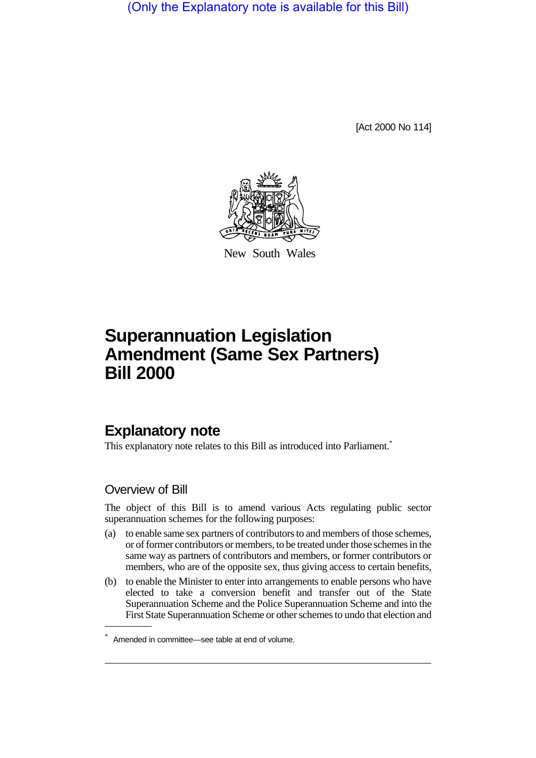(Only the Explanatory note is available for this Bill)

[Act 2000 No 114]



New South Wales

# **Superannuation Legislation Amendment (Same Sex Partners) Bill 2000**

## **Explanatory note**

This explanatory note relates to this Bill as introduced into Parliament.<sup>\*</sup>

### Overview of Bill

The object of this Bill is to amend various Acts regulating public sector superannuation schemes for the following purposes:

- (a) to enable same sex partners of contributors to and members of those schemes, or of former contributors or members, to be treated under those schemes in the same way as partners of contributors and members, or former contributors or members, who are of the opposite sex, thus giving access to certain benefits,
- (b) to enable the Minister to enter into arrangements to enable persons who have elected to take a conversion benefit and transfer out of the State Superannuation Scheme and the Police Superannuation Scheme and into the First State Superannuation Scheme or other schemes to undo that election and

<sup>\*</sup> Amended in committee—see table at end of volume.